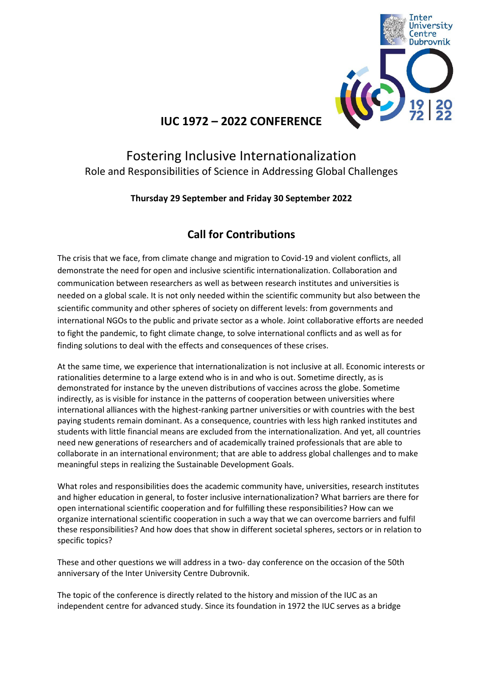

## **IUC 1972 – 2022 CONFERENCE**

# Fostering Inclusive Internationalization Role and Responsibilities of Science in Addressing Global Challenges

### **Thursday 29 September and Friday 30 September 2022**

### **Call for Contributions**

The crisis that we face, from climate change and migration to Covid-19 and violent conflicts, all demonstrate the need for open and inclusive scientific internationalization. Collaboration and communication between researchers as well as between research institutes and universities is needed on a global scale. It is not only needed within the scientific community but also between the scientific community and other spheres of society on different levels: from governments and international NGOs to the public and private sector as a whole. Joint collaborative efforts are needed to fight the pandemic, to fight climate change, to solve international conflicts and as well as for finding solutions to deal with the effects and consequences of these crises.

At the same time, we experience that internationalization is not inclusive at all. Economic interests or rationalities determine to a large extend who is in and who is out. Sometime directly, as is demonstrated for instance by the uneven distributions of vaccines across the globe. Sometime indirectly, as is visible for instance in the patterns of cooperation between universities where international alliances with the highest-ranking partner universities or with countries with the best paying students remain dominant. As a consequence, countries with less high ranked institutes and students with little financial means are excluded from the internationalization. And yet, all countries need new generations of researchers and of academically trained professionals that are able to collaborate in an international environment; that are able to address global challenges and to make meaningful steps in realizing the Sustainable Development Goals.

What roles and responsibilities does the academic community have, universities, research institutes and higher education in general, to foster inclusive internationalization? What barriers are there for open international scientific cooperation and for fulfilling these responsibilities? How can we organize international scientific cooperation in such a way that we can overcome barriers and fulfil these responsibilities? And how does that show in different societal spheres, sectors or in relation to specific topics?

These and other questions we will address in a two- day conference on the occasion of the 50th anniversary of the Inter University Centre Dubrovnik.

The topic of the conference is directly related to the history and mission of the IUC as an independent centre for advanced study. Since its foundation in 1972 the IUC serves as a bridge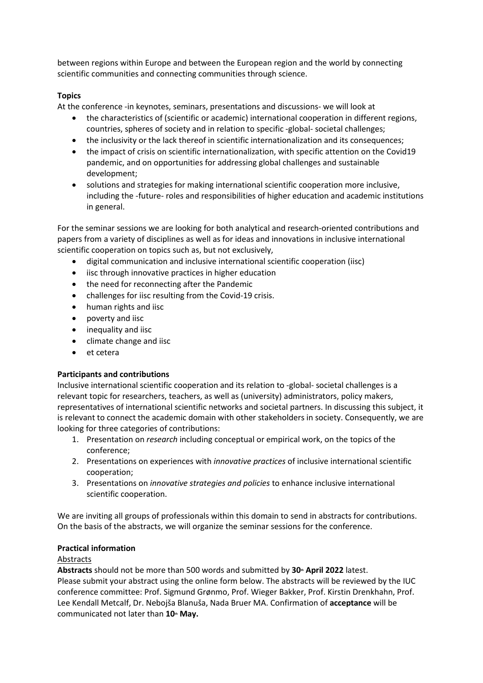between regions within Europe and between the European region and the world by connecting scientific communities and connecting communities through science.

#### **Topics**

At the conference -in keynotes, seminars, presentations and discussions- we will look at

- the characteristics of (scientific or academic) international cooperation in different regions, countries, spheres of society and in relation to specific -global- societal challenges;
- the inclusivity or the lack thereof in scientific internationalization and its consequences:
- the impact of crisis on scientific internationalization, with specific attention on the Covid19 pandemic, and on opportunities for addressing global challenges and sustainable development;
- solutions and strategies for making international scientific cooperation more inclusive, including the -future- roles and responsibilities of higher education and academic institutions in general.

For the seminar sessions we are looking for both analytical and research-oriented contributions and papers from a variety of disciplines as well as for ideas and innovations in inclusive international scientific cooperation on topics such as, but not exclusively,

- digital communication and inclusive international scientific cooperation (iisc)
- iisc through innovative practices in higher education
- the need for reconnecting after the Pandemic
- challenges for iisc resulting from the Covid-19 crisis.
- human rights and iisc
- poverty and iisc
- inequality and iisc
- climate change and iisc
- et cetera

#### **Participants and contributions**

Inclusive international scientific cooperation and its relation to -global- societal challenges is a relevant topic for researchers, teachers, as well as (university) administrators, policy makers, representatives of international scientific networks and societal partners. In discussing this subject, it is relevant to connect the academic domain with other stakeholders in society. Consequently, we are looking for three categories of contributions:

- 1. Presentation on *research* including conceptual or empirical work, on the topics of the conference;
- 2. Presentations on experiences with *innovative practices* of inclusive international scientific cooperation;
- 3. Presentations on *innovative strategies and policies* to enhance inclusive international scientific cooperation.

We are inviting all groups of professionals within this domain to send in abstracts for contributions. On the basis of the abstracts, we will organize the seminar sessions for the conference.

#### **Practical information**

#### Abstracts

Abstracts should not be more than 500 words and submitted by 30<sup>th</sup> April 2022 latest.

Please submit your abstract using the online form below. The abstracts will be reviewed by the IUC conference committee: Prof. Sigmund Grønmo, Prof. Wieger Bakker, Prof. Kirstin Drenkhahn, Prof. Lee Kendall Metcalf, Dr. Nebojša Blanuša, Nada Bruer MA. Confirmation of **acceptance** will be communicated not later than 10<sup>th</sup> May.